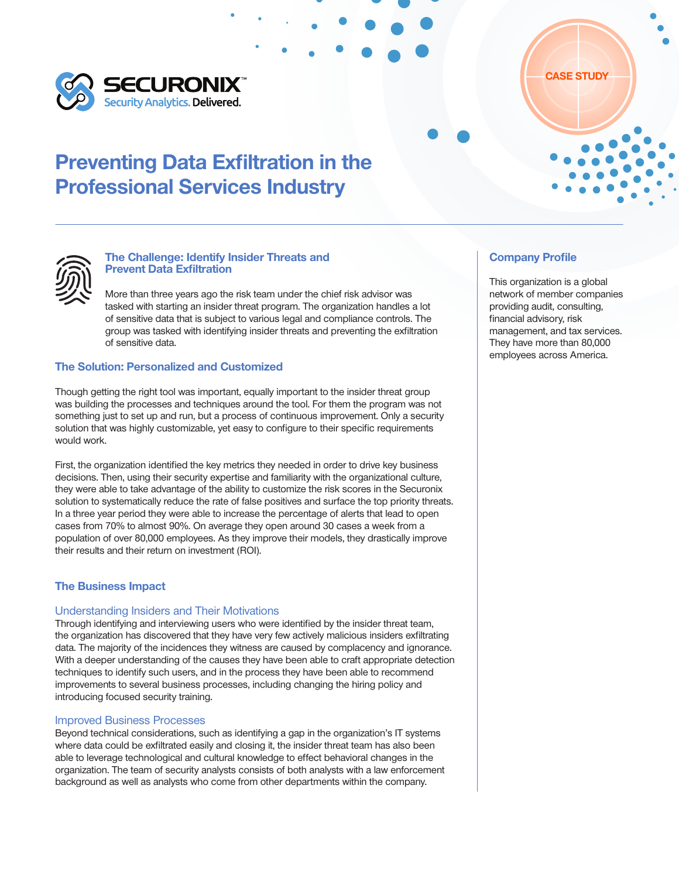



### The Challenge: Identify Insider Threats and Prevent Data Exfiltration

More than three years ago the risk team under the chief risk advisor was tasked with starting an insider threat program. The organization handles a lot of sensitive data that is subject to various legal and compliance controls. The group was tasked with identifying insider threats and preventing the exfiltration of sensitive data.

# The Solution: Personalized and Customized

Though getting the right tool was important, equally important to the insider threat group was building the processes and techniques around the tool. For them the program was not something just to set up and run, but a process of continuous improvement. Only a security solution that was highly customizable, yet easy to configure to their specific requirements would work.

First, the organization identified the key metrics they needed in order to drive key business decisions. Then, using their security expertise and familiarity with the organizational culture, they were able to take advantage of the ability to customize the risk scores in the Securonix solution to systematically reduce the rate of false positives and surface the top priority threats. In a three year period they were able to increase the percentage of alerts that lead to open cases from 70% to almost 90%. On average they open around 30 cases a week from a population of over 80,000 employees. As they improve their models, they drastically improve their results and their return on investment (ROI).

### The Business Impact

### Understanding Insiders and Their Motivations

Through identifying and interviewing users who were identified by the insider threat team, the organization has discovered that they have very few actively malicious insiders exfiltrating data. The majority of the incidences they witness are caused by complacency and ignorance. With a deeper understanding of the causes they have been able to craft appropriate detection techniques to identify such users, and in the process they have been able to recommend improvements to several business processes, including changing the hiring policy and introducing focused security training.

#### Improved Business Processes

Beyond technical considerations, such as identifying a gap in the organization's IT systems where data could be exfiltrated easily and closing it, the insider threat team has also been able to leverage technological and cultural knowledge to effect behavioral changes in the organization. The team of security analysts consists of both analysts with a law enforcement background as well as analysts who come from other departments within the company.

#### Company Profile

This organization is a global network of member companies providing audit, consulting, financial advisory, risk management, and tax services. They have more than 80,000 employees across America.